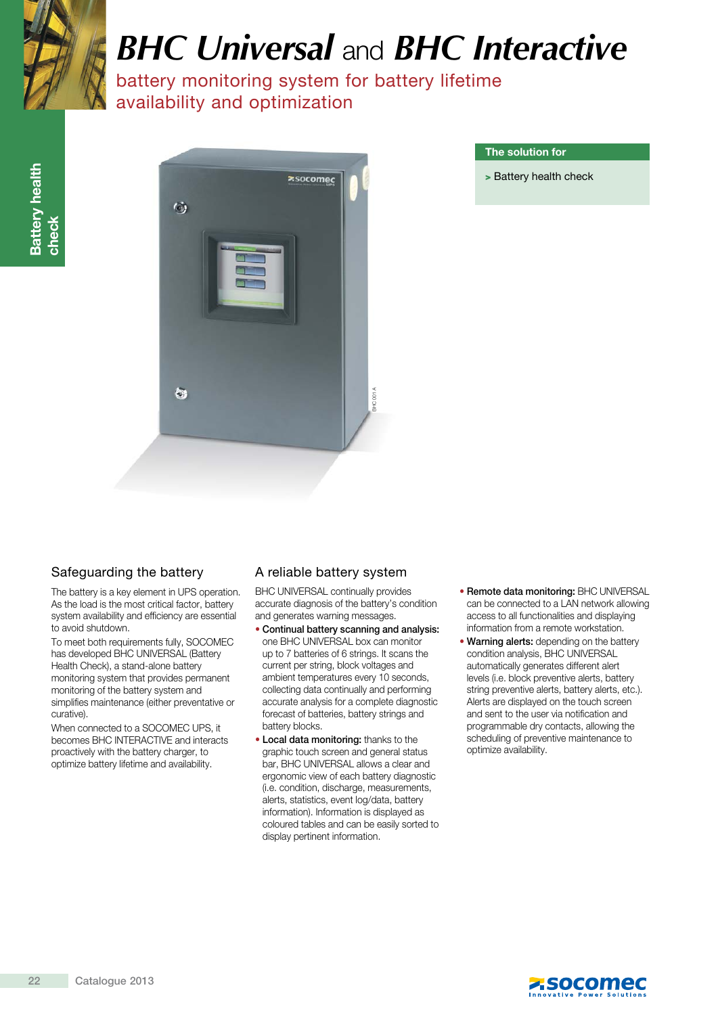

# *BHC Universal* and *BHC Interactive*

battery monitoring system for battery lifetime availability and optimization



#### The solution for

> Battery health check

# Safeguarding the battery

The battery is a key element in UPS operation. As the load is the most critical factor, battery system availability and efficiency are essential to avoid shutdown.

To meet both requirements fully, SOCOMEC has developed BHC UNIVERSAL (Battery Health Check), a stand-alone battery monitoring system that provides permanent monitoring of the battery system and simplifies maintenance (either preventative or curative).

When connected to a SOCOMEC UPS, it becomes BHC INTERACTIVE and interacts proactively with the battery charger, to optimize battery lifetime and availability.

## A reliable battery system

BHC UNIVERSAL continually provides accurate diagnosis of the battery's condition and generates warning messages.

- Continual battery scanning and analysis: one BHC UNIVERSAL box can monitor up to 7 batteries of 6 strings. It scans the current per string, block voltages and ambient temperatures every 10 seconds, collecting data continually and performing accurate analysis for a complete diagnostic forecast of batteries, battery strings and battery blocks.
- Local data monitoring: thanks to the graphic touch screen and general status bar, BHC UNIVERSAL allows a clear and ergonomic view of each battery diagnostic (i.e. condition, discharge, measurements, alerts, statistics, event log/data, battery information). Information is displayed as coloured tables and can be easily sorted to display pertinent information.
- Remote data monitoring: BHC UNIVERSAL can be connected to a LAN network allowing access to all functionalities and displaying information from a remote workstation.
- Warning alerts: depending on the battery condition analysis, BHC UNIVERSAL automatically generates different alert levels (i.e. block preventive alerts, battery string preventive alerts, battery alerts, etc.). Alerts are displayed on the touch screen and sent to the user via notification and programmable dry contacts, allowing the scheduling of preventive maintenance to optimize availability.